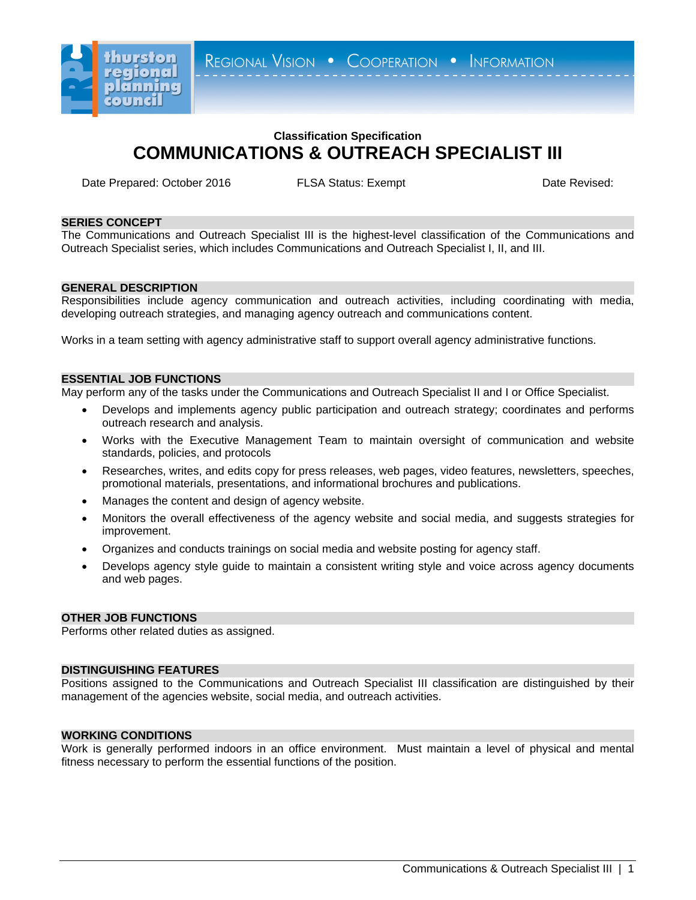

REGIONAL VISION . COOPERATION . INFORMATION

# **Classification Specification COMMUNICATIONS & OUTREACH SPECIALIST III**

Date Prepared: October 2016 **FLSA Status: Exempt Exempt** Date Revised:

## **SERIES CONCEPT**

The Communications and Outreach Specialist III is the highest-level classification of the Communications and Outreach Specialist series, which includes Communications and Outreach Specialist I, II, and III.

# **GENERAL DESCRIPTION**

Responsibilities include agency communication and outreach activities, including coordinating with media, developing outreach strategies, and managing agency outreach and communications content.

Works in a team setting with agency administrative staff to support overall agency administrative functions.

### **ESSENTIAL JOB FUNCTIONS**

May perform any of the tasks under the Communications and Outreach Specialist II and I or Office Specialist.

- Develops and implements agency public participation and outreach strategy; coordinates and performs outreach research and analysis.
- Works with the Executive Management Team to maintain oversight of communication and website standards, policies, and protocols
- Researches, writes, and edits copy for press releases, web pages, video features, newsletters, speeches, promotional materials, presentations, and informational brochures and publications.
- Manages the content and design of agency website.
- Monitors the overall effectiveness of the agency website and social media, and suggests strategies for improvement.
- Organizes and conducts trainings on social media and website posting for agency staff.
- Develops agency style guide to maintain a consistent writing style and voice across agency documents and web pages.

#### **OTHER JOB FUNCTIONS**

Performs other related duties as assigned.

# **DISTINGUISHING FEATURES**

Positions assigned to the Communications and Outreach Specialist III classification are distinguished by their management of the agencies website, social media, and outreach activities.

## **WORKING CONDITIONS**

Work is generally performed indoors in an office environment. Must maintain a level of physical and mental fitness necessary to perform the essential functions of the position.